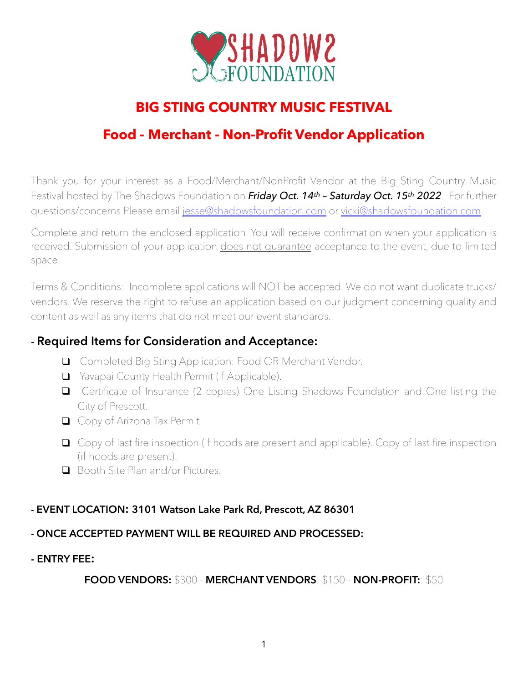

# **BIG STING COUNTRY MUSIC FESTIVAL**

# **Food - Merchant - Non-Profit Vendor Application**

Thank you for your interest as a Food/Merchant/NonProfit Vendor at the Big Sting Country Music Festival hosted by The Shadows Foundation on *Friday Oct. 14th – Saturday Oct. 15th 2022*. For further questions/concerns Please email [jesse@shadowsfoundation.com](mailto:jesse@shadowsfoundation.com) or [vicki@shadowsfoundation.com.](mailto:vicki@shadowsfoundation.com)

Complete and return the enclosed application. You will receive confirmation when your application is received. Submission of your application does not guarantee acceptance to the event, due to limited space.

Terms & Conditions: Incomplete applications will NOT be accepted. We do not want duplicate trucks/ vendors. We reserve the right to refuse an application based on our judgment concerning quality and content as well as any items that do not meet our event standards.

### **- Required Items for Consideration and Acceptance:**

- ❑ Completed Big Sting Application: Food OR Merchant Vendor.
- ❑ Yavapai County Health Permit (If Applicable).
- ❑ Certificate of Insurance (2 copies) One Listing Shadows Foundation and One listing the City of Prescott.
- ❑ Copy of Arizona Tax Permit.
- ❑ Copy of last fire inspection (if hoods are present and applicable). Copy of last fire inspection (if hoods are present).
- ❑ Booth Site Plan and/or Pictures.

### **- EVENT LOCATION: 3101 Watson Lake Park Rd, Prescott, AZ 86301**

### **- ONCE ACCEPTED PAYMENT WILL BE REQUIRED AND PROCESSED:**

### **- ENTRY FEE:**

**FOOD VENDORS:** \$300 - **MERCHANT VENDORS**: \$150 - **NON-PROFIT:**: \$50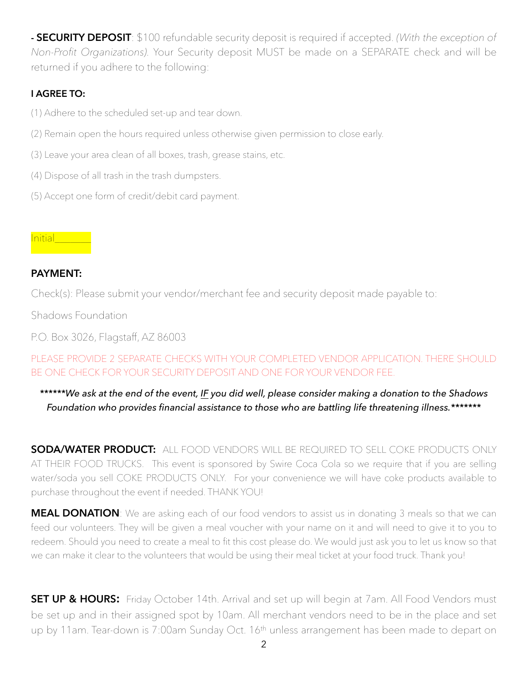**- SECURITY DEPOSIT**: \$100 refundable security deposit is required if accepted. *(With the exception of Non-Profit Organizations).* Your Security deposit MUST be made on a SEPARATE check and will be returned if you adhere to the following:

### **I AGREE TO:**

- (1) Adhere to the scheduled set-up and tear down.
- (2) Remain open the hours required unless otherwise given permission to close early.
- (3) Leave your area clean of all boxes, trash, grease stains, etc.
- (4) Dispose of all trash in the trash dumpsters.
- (5) Accept one form of credit/debit card payment.

### Initial\_\_\_\_\_\_\_

### **PAYMENT:**

Check(s): Please submit your vendor/merchant fee and security deposit made payable to:

Shadows Foundation

P.O. Box 3026, Flagstaff, AZ 86003

PLEASE PROVIDE 2 SEPARATE CHECKS WITH YOUR COMPLETED VENDOR APPLICATION. THERE SHOULD BE ONE CHECK FOR YOUR SECURITY DEPOSIT AND ONE FOR YOUR VENDOR FEE.

### *\*\*\*\*\*\*We ask at the end of the event, IF you did well, please consider making a donation to the Shadows Foundation who provides financial assistance to those who are battling life threatening illness.\*\*\*\*\*\*\**

**SODA/WATER PRODUCT:** ALL FOOD VENDORS WILL BE REQUIRED TO SELL COKE PRODUCTS ONLY AT THEIR FOOD TRUCKS. This event is sponsored by Swire Coca Cola so we require that if you are selling water/soda you sell COKE PRODUCTS ONLY. For your convenience we will have coke products available to purchase throughout the event if needed. THANK YOU!

**MEAL DONATION**: We are asking each of our food vendors to assist us in donating 3 meals so that we can feed our volunteers. They will be given a meal voucher with your name on it and will need to give it to you to redeem. Should you need to create a meal to fit this cost please do. We would just ask you to let us know so that we can make it clear to the volunteers that would be using their meal ticket at your food truck. Thank you!

**SET UP & HOURS:** Friday October 14th. Arrival and set up will begin at 7am. All Food Vendors must be set up and in their assigned spot by 10am. All merchant vendors need to be in the place and set up by 11am. Tear-down is 7:00am Sunday Oct. 16<sup>th</sup> unless arrangement has been made to depart on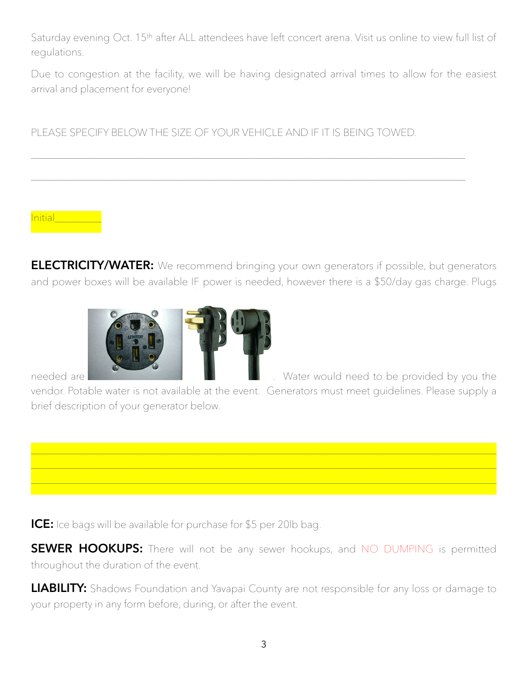Saturday evening Oct. 15th after ALL attendees have left concert arena. Visit us online to view full list of regulations.

Due to congestion at the facility, we will be having designated arrival times to allow for the easiest arrival and placement for everyone!

PLEASE SPECIFY BELOW THE SIZE OF YOUR VEHICLE AND IF IT IS BEING TOWED.

\_\_\_\_\_\_\_\_\_\_\_\_\_\_\_\_\_\_\_\_\_\_\_\_\_\_\_\_\_\_\_\_\_\_\_\_\_\_\_\_\_\_\_\_\_\_\_\_\_\_\_\_\_\_\_\_\_\_\_\_\_\_\_\_\_\_\_\_\_\_\_\_\_\_\_\_\_\_\_\_\_\_\_\_

\_\_\_\_\_\_\_\_\_\_\_\_\_\_\_\_\_\_\_\_\_\_\_\_\_\_\_\_\_\_\_\_\_\_\_\_\_\_\_\_\_\_\_\_\_\_\_\_\_\_\_\_\_\_\_\_\_\_\_\_\_\_\_\_\_\_\_\_\_\_\_\_\_\_\_\_\_\_\_\_\_\_\_\_

Initial\_\_\_\_\_\_\_

**ELECTRICITY/WATER:** We recommend bringing your own generators if possible, but generators and power boxes will be available IF power is needed, however there is a \$50/day gas charge. Plugs



vendor. Potable water is not available at the event. Generators must meet guidelines. Please supply a brief description of your generator below.



**ICE:** Ice bags will be available for purchase for \$5 per 20lb bag.

**SEWER HOOKUPS:** There will not be any sewer hookups, and NO DUMPING is permitted throughout the duration of the event.

**LIABILITY:** Shadows Foundation and Yavapai County are not responsible for any loss or damage to your property in any form before, during, or after the event.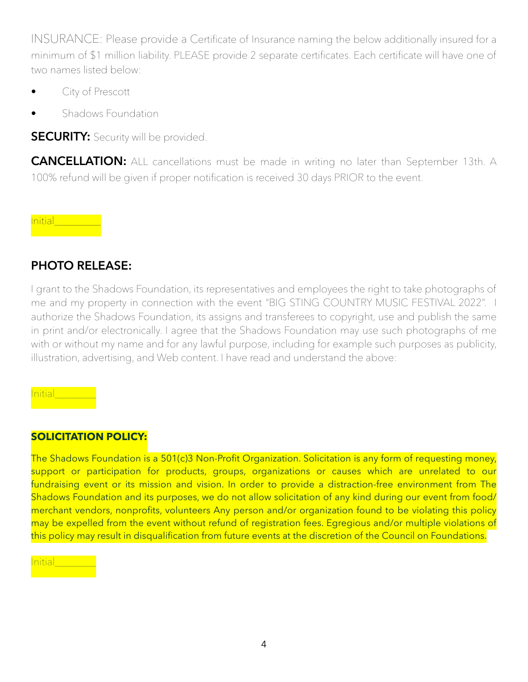INSURANCE: Please provide a Certificate of Insurance naming the below additionally insured for a minimum of \$1 million liability. PLEASE provide 2 separate certificates. Each certificate will have one of two names listed below:

- City of Prescott
- Shadows Foundation

**SECURITY:** Security will be provided.

**CANCELLATION:** ALL cancellations must be made in writing no later than September 13th. A 100% refund will be given if proper notification is received 30 days PRIOR to the event.

nitial\_\_\_\_\_\_\_

## **PHOTO RELEASE:**

I grant to the Shadows Foundation, its representatives and employees the right to take photographs of me and my property in connection with the event "BIG STING COUNTRY MUSIC FESTIVAL 2022". I authorize the Shadows Foundation, its assigns and transferees to copyright, use and publish the same in print and/or electronically. I agree that the Shadows Foundation may use such photographs of me with or without my name and for any lawful purpose, including for example such purposes as publicity, illustration, advertising, and Web content. I have read and understand the above:

nitial\_

### **SOLICITATION POLICY:**

The Shadows Foundation is a 501(c)3 Non-Profit Organization. Solicitation is any form of requesting money, support or participation for products, groups, organizations or causes which are unrelated to our fundraising event or its mission and vision. In order to provide a distraction-free environment from The Shadows Foundation and its purposes, we do not allow solicitation of any kind during our event from food/ merchant vendors, nonprofits, volunteers Any person and/or organization found to be violating this policy may be expelled from the event without refund of registration fees. Egregious and/or multiple violations of this policy may result in disqualification from future events at the discretion of the Council on Foundations.

nitial\_\_\_\_\_\_\_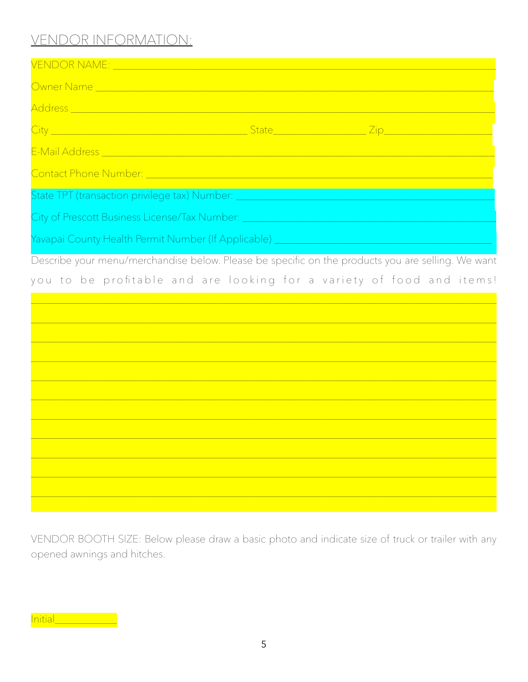# VENDOR INFORMATION:

| <b>VENDOR NAME:</b> ______________                                                                                                                                                                                             |  |  |  |  |
|--------------------------------------------------------------------------------------------------------------------------------------------------------------------------------------------------------------------------------|--|--|--|--|
|                                                                                                                                                                                                                                |  |  |  |  |
| <u>Address ____________________________</u>                                                                                                                                                                                    |  |  |  |  |
|                                                                                                                                                                                                                                |  |  |  |  |
| E-Mail Address and the contract of the contract of the contract of the contract of the contract of the contract of the contract of the contract of the contract of the contract of the contract of the contract of the contrac |  |  |  |  |
| Contact Phone Number: Entry the Contract of the Contact Phone Contract of the Contract of                                                                                                                                      |  |  |  |  |
| State TPT (transaction privilege tax) Number: __________________________________                                                                                                                                               |  |  |  |  |
| City of Prescott Business License/Tax Number: New York Number 2014                                                                                                                                                             |  |  |  |  |
| Yavapai County Health Permit Number (If Applicable) _____________________________                                                                                                                                              |  |  |  |  |

Describe your menu/merchandise below. Please be specific on the products you are selling. We want

you to be profitable and are looking for a variety of food and items!

VENDOR BOOTH SIZE: Below please draw a basic photo and indicate size of truck or trailer with any opened awnings and hitches.

Initial\_\_\_\_\_\_\_\_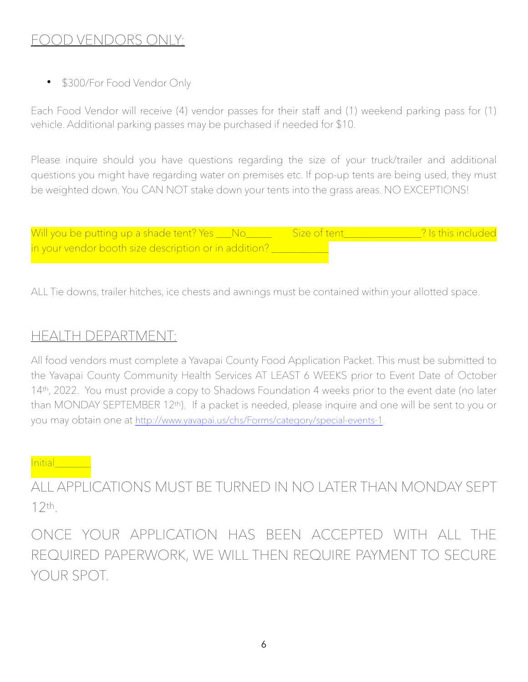# FOOD VENDORS ONLY:

• \$300/For Food Vendor Only

Each Food Vendor will receive (4) vendor passes for their staff and (1) weekend parking pass for (1) vehicle. Additional parking passes may be purchased if needed for \$10.

Please inquire should you have questions regarding the size of your truck/trailer and additional questions you might have regarding water on premises etc. If pop-up tents are being used, they must be weighted down. You CAN NOT stake down your tents into the grass areas. NO EXCEPTIONS!

| Will you be putting up a shade tent? Yes ___No_       | Size of tent | <sup>2</sup> Is this included |
|-------------------------------------------------------|--------------|-------------------------------|
| in your vendor booth size description or in addition? |              |                               |

ALL Tie downs, trailer hitches, ice chests and awnings must be contained within your allotted space.

## HEALTH DEPARTMENT:

All food vendors must complete a Yavapai County Food Application Packet. This must be submitted to the Yavapai County Community Health Services AT LEAST 6 WEEKS prior to Event Date of October 14<sup>th</sup>, 2022. You must provide a copy to Shadows Foundation 4 weeks prior to the event date (no later than MONDAY SEPTEMBER 12th). If a packet is needed, please inquire and one will be sent to you or you may obtain one at <http://www.yavapai.us/chs/Forms/category/special-events-1>

#### Initial\_\_\_\_\_\_\_

ALL APPLICATIONS MUST BE TURNED IN NO LATER THAN MONDAY SEPT 12th.

ONCE YOUR APPLICATION HAS BEEN ACCEPTED WITH ALL THE REQUIRED PAPERWORK, WE WILL THEN REQUIRE PAYMENT TO SECURE YOUR SPOT.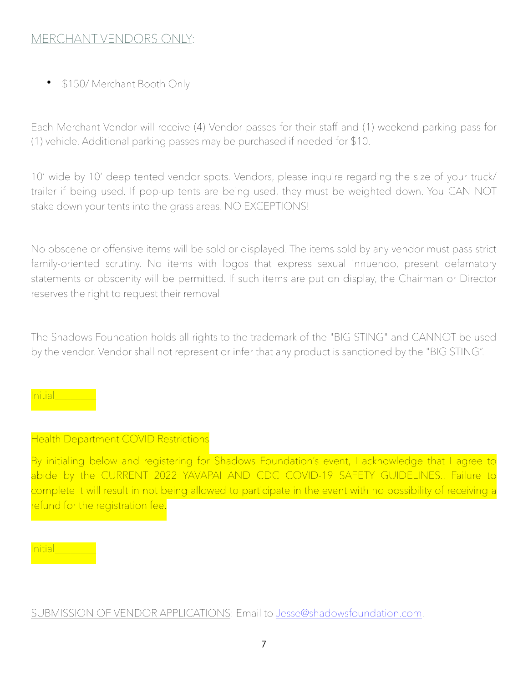### MERCHANT VENDORS ONLY:

• \$150/ Merchant Booth Only

Each Merchant Vendor will receive (4) Vendor passes for their staff and (1) weekend parking pass for (1) vehicle. Additional parking passes may be purchased if needed for \$10.

10' wide by 10' deep tented vendor spots. Vendors, please inquire regarding the size of your truck/ trailer if being used. If pop-up tents are being used, they must be weighted down. You CAN NOT stake down your tents into the grass areas. NO EXCEPTIONS!

No obscene or offensive items will be sold or displayed. The items sold by any vendor must pass strict family-oriented scrutiny. No items with logos that express sexual innuendo, present defamatory statements or obscenity will be permitted. If such items are put on display, the Chairman or Director reserves the right to request their removal.

The Shadows Foundation holds all rights to the trademark of the "BIG STING" and CANNOT be used by the vendor. Vendor shall not represent or infer that any product is sanctioned by the "BIG STING".

Initial\_\_\_\_\_\_\_\_

#### Health Department COVID Restrictions

By initialing below and registering for Shadows Foundation's event, I acknowledge that I agree to abide by the CURRENT 2022 YAVAPAI AND CDC COVID-19 SAFETY GUIDELINES.. Failure to complete it will result in not being allowed to participate in the event with no possibility of receiving a refund for the registration fee.

#### nitial\_\_\_\_\_\_\_

SUBMISSION OF VENDOR APPLICATIONS: Email to [Jesse@shadowsfoundation.com.](mailto:Jesse@shadowsfoundation.com)